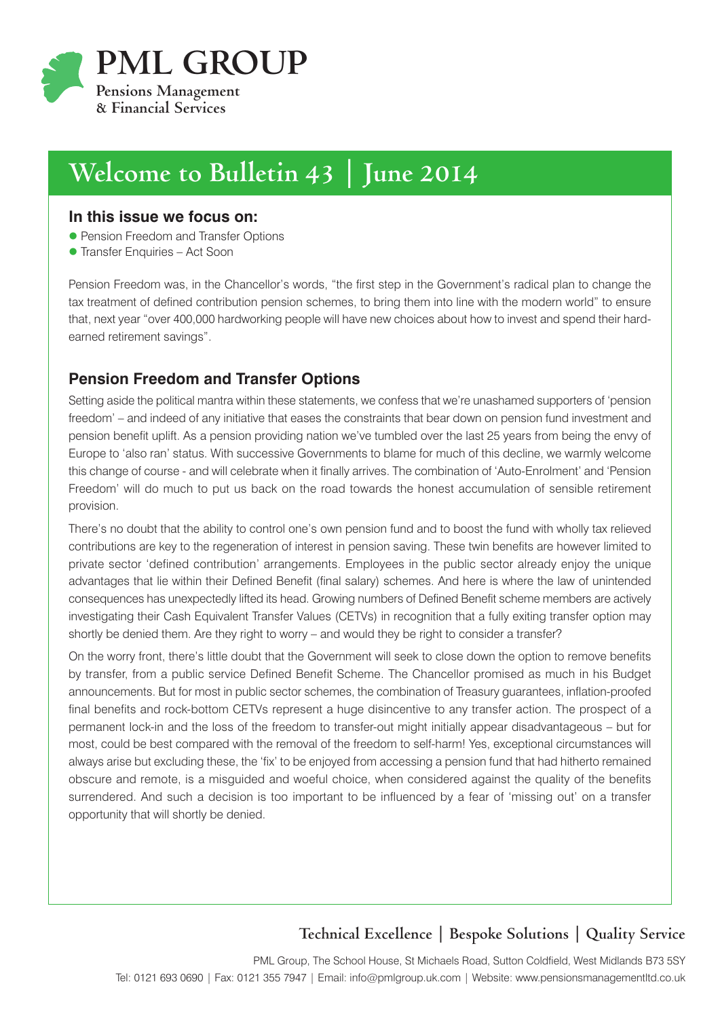

# **Welcome to Bulletin 43 | June 2014**

#### **In this issue we focus on:**

- **Pension Freedom and Transfer Options**
- **Transfer Enquiries Act Soon**

Pension Freedom was, in the Chancellor's words, "the first step in the Government's radical plan to change the tax treatment of defined contribution pension schemes, to bring them into line with the modern world" to ensure that, next year "over 400,000 hardworking people will have new choices about how to invest and spend their hardearned retirement savings".

## **Pension Freedom and Transfer Options**

Setting aside the political mantra within these statements, we confess that we're unashamed supporters of 'pension freedom' – and indeed of any initiative that eases the constraints that bear down on pension fund investment and pension benefit uplift. As a pension providing nation we've tumbled over the last 25 years from being the envy of Europe to 'also ran' status. With successive Governments to blame for much of this decline, we warmly welcome this change of course - and will celebrate when it finally arrives. The combination of 'Auto-Enrolment' and 'Pension Freedom' will do much to put us back on the road towards the honest accumulation of sensible retirement provision.

There's no doubt that the ability to control one's own pension fund and to boost the fund with wholly tax relieved contributions are key to the regeneration of interest in pension saving. These twin benefits are however limited to private sector 'defined contribution' arrangements. Employees in the public sector already enjoy the unique advantages that lie within their Defined Benefit (final salary) schemes. And here is where the law of unintended consequences has unexpectedly lifted its head. Growing numbers of Defined Benefit scheme members are actively investigating their Cash Equivalent Transfer Values (CETVs) in recognition that a fully exiting transfer option may shortly be denied them. Are they right to worry – and would they be right to consider a transfer?

On the worry front, there's little doubt that the Government will seek to close down the option to remove benefits by transfer, from a public service Defined Benefit Scheme. The Chancellor promised as much in his Budget announcements. But for most in public sector schemes, the combination of Treasury guarantees, inflation-proofed final benefits and rock-bottom CETVs represent a huge disincentive to any transfer action. The prospect of a permanent lock-in and the loss of the freedom to transfer-out might initially appear disadvantageous – but for most, could be best compared with the removal of the freedom to self-harm! Yes, exceptional circumstances will always arise but excluding these, the 'fix' to be enjoyed from accessing a pension fund that had hitherto remained obscure and remote, is a misguided and woeful choice, when considered against the quality of the benefits surrendered. And such a decision is too important to be influenced by a fear of 'missing out' on a transfer opportunity that will shortly be denied.

## **Technical Excellence | Bespoke Solutions | Quality Service**

PML Group, The School House, St Michaels Road, Sutton Coldfield, West Midlands B73 5SY Tel: 0121 693 0690 | Fax: 0121 355 7947 | Email: info@pmlgroup.uk.com | Website: www.pensionsmanagementltd.co.uk